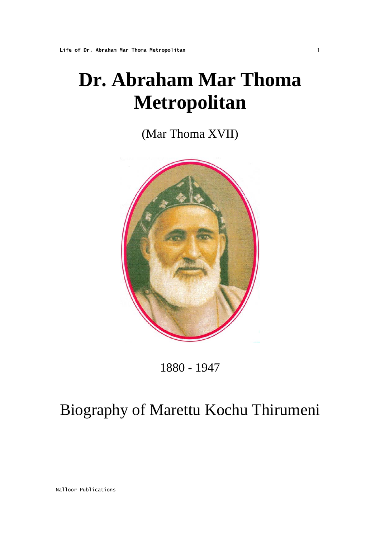# **Dr. Abraham Mar Thoma Metropolitan**

(Mar Thoma XVII)



1880 - 1947

# Biography of Marettu Kochu Thirumeni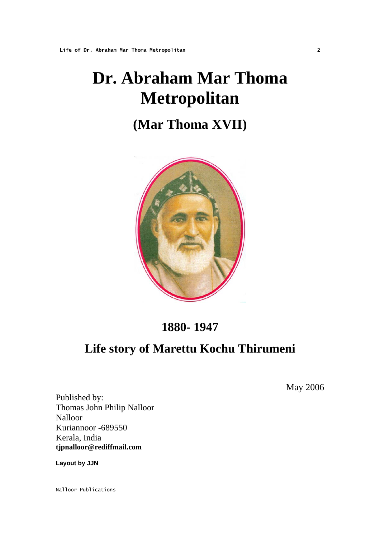# **Dr. Abraham Mar Thoma Metropolitan**

## **(Mar Thoma XVII)**



## **1880- 1947**

## **Life story of Marettu Kochu Thirumeni**

May 2006

Published by: Thomas John Philip Nalloor Nalloor Kuriannoor -689550 Kerala, India **tjpnalloor@rediffmail.com** 

**Layout by JJN**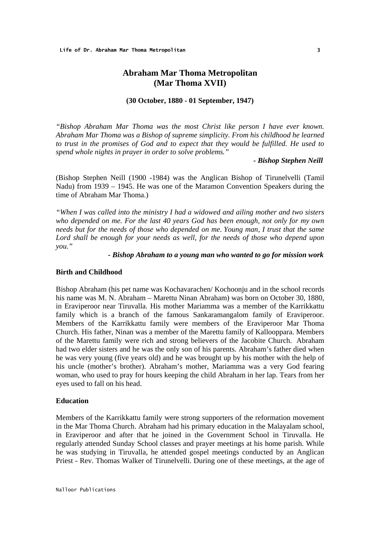### **Abraham Mar Thoma Metropolitan (Mar Thoma XVII)**

#### **(30 October, 1880 - 01 September, 1947)**

*"Bishop Abraham Mar Thoma was the most Christ like person I have ever known. Abraham Mar Thoma was a Bishop of supreme simplicity. From his childhood he learned to trust in the promises of God and to expect that they would be fulfilled. He used to spend whole nights in prayer in order to solve problems."* 

#### *- Bishop Stephen Neill*

(Bishop Stephen Neill (1900 -1984) was the Anglican Bishop of Tirunelvelli (Tamil Nadu) from 1939 – 1945. He was one of the Maramon Convention Speakers during the time of Abraham Mar Thoma.)

*"When I was called into the ministry I had a widowed and ailing mother and two sisters who depended on me. For the last 40 years God has been enough, not only for my own needs but for the needs of those who depended on me. Young man, I trust that the same Lord shall be enough for your needs as well, for the needs of those who depend upon you."* 

#### *- Bishop Abraham to a young man who wanted to go for mission work*

#### **Birth and Childhood**

Bishop Abraham (his pet name was Kochavarachen/ Kochoonju and in the school records his name was M. N. Abraham – Marettu Ninan Abraham) was born on October 30, 1880, in Eraviperoor near Tiruvalla. His mother Mariamma was a member of the Karrikkattu family which is a branch of the famous Sankaramangalom family of Eraviperoor. Members of the Karrikkattu family were members of the Eraviperoor Mar Thoma Church. His father, Ninan was a member of the Marettu family of Kallooppara. Members of the Marettu family were rich and strong believers of the Jacobite Church. Abraham had two elder sisters and he was the only son of his parents. Abraham's father died when he was very young (five years old) and he was brought up by his mother with the help of his uncle (mother's brother). Abraham's mother, Mariamma was a very God fearing woman, who used to pray for hours keeping the child Abraham in her lap. Tears from her eyes used to fall on his head.

#### **Education**

Members of the Karrikkattu family were strong supporters of the reformation movement in the Mar Thoma Church. Abraham had his primary education in the Malayalam school, in Eraviperoor and after that he joined in the Government School in Tiruvalla. He regularly attended Sunday School classes and prayer meetings at his home parish. While he was studying in Tiruvalla, he attended gospel meetings conducted by an Anglican Priest - Rev. Thomas Walker of Tirunelvelli. During one of these meetings, at the age of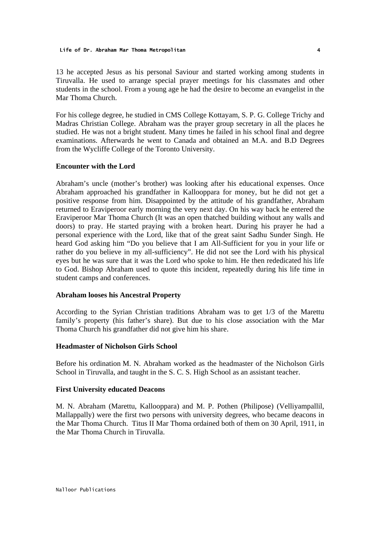13 he accepted Jesus as his personal Saviour and started working among students in Tiruvalla. He used to arrange special prayer meetings for his classmates and other students in the school. From a young age he had the desire to become an evangelist in the Mar Thoma Church.

For his college degree, he studied in CMS College Kottayam, S. P. G. College Trichy and Madras Christian College. Abraham was the prayer group secretary in all the places he studied. He was not a bright student. Many times he failed in his school final and degree examinations. Afterwards he went to Canada and obtained an M.A. and B.D Degrees from the Wycliffe College of the Toronto University.

#### **Encounter with the Lord**

Abraham's uncle (mother's brother) was looking after his educational expenses. Once Abraham approached his grandfather in Kallooppara for money, but he did not get a positive response from him. Disappointed by the attitude of his grandfather, Abraham returned to Eraviperoor early morning the very next day. On his way back he entered the Eraviperoor Mar Thoma Church (It was an open thatched building without any walls and doors) to pray. He started praying with a broken heart. During his prayer he had a personal experience with the Lord, like that of the great saint Sadhu Sunder Singh. He heard God asking him "Do you believe that I am All-Sufficient for you in your life or rather do you believe in my all-sufficiency". He did not see the Lord with his physical eyes but he was sure that it was the Lord who spoke to him. He then rededicated his life to God. Bishop Abraham used to quote this incident, repeatedly during his life time in student camps and conferences.

#### **Abraham looses his Ancestral Property**

According to the Syrian Christian traditions Abraham was to get 1/3 of the Marettu family's property (his father's share). But due to his close association with the Mar Thoma Church his grandfather did not give him his share.

#### **Headmaster of Nicholson Girls School**

Before his ordination M. N. Abraham worked as the headmaster of the Nicholson Girls School in Tiruvalla, and taught in the S. C. S. High School as an assistant teacher.

#### **First University educated Deacons**

M. N. Abraham (Marettu, Kallooppara) and M. P. Pothen (Philipose) (Velliyampallil, Mallappally) were the first two persons with university degrees, who became deacons in the Mar Thoma Church. Titus II Mar Thoma ordained both of them on 30 April, 1911, in the Mar Thoma Church in Tiruvalla.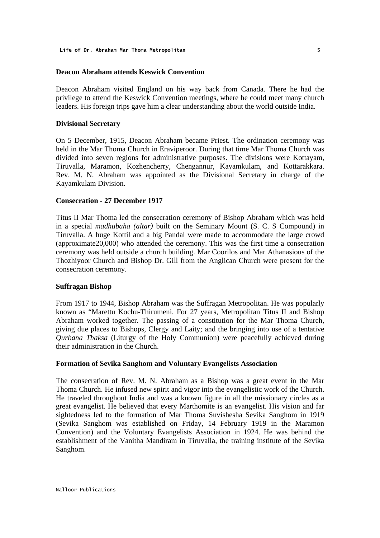#### **Deacon Abraham attends Keswick Convention**

Deacon Abraham visited England on his way back from Canada. There he had the privilege to attend the Keswick Convention meetings, where he could meet many church leaders. His foreign trips gave him a clear understanding about the world outside India.

#### **Divisional Secretary**

On 5 December, 1915, Deacon Abraham became Priest. The ordination ceremony was held in the Mar Thoma Church in Eraviperoor. During that time Mar Thoma Church was divided into seven regions for administrative purposes. The divisions were Kottayam, Tiruvalla, Maramon, Kozhencherry, Chengannur, Kayamkulam, and Kottarakkara. Rev. M. N. Abraham was appointed as the Divisional Secretary in charge of the Kayamkulam Division.

#### **Consecration - 27 December 1917**

Titus II Mar Thoma led the consecration ceremony of Bishop Abraham which was held in a special *madhubaha (altar)* built on the Seminary Mount (S. C. S Compound) in Tiruvalla. A huge Kottil and a big Pandal were made to accommodate the large crowd (approximate20,000) who attended the ceremony. This was the first time a consecration ceremony was held outside a church building. Mar Coorilos and Mar Athanasious of the Thozhiyoor Church and Bishop Dr. Gill from the Anglican Church were present for the consecration ceremony.

#### **Suffragan Bishop**

From 1917 to 1944, Bishop Abraham was the Suffragan Metropolitan. He was popularly known as "Marettu Kochu-Thirumeni. For 27 years, Metropolitan Titus II and Bishop Abraham worked together. The passing of a constitution for the Mar Thoma Church, giving due places to Bishops, Clergy and Laity; and the bringing into use of a tentative *Qurbana Thaksa* (Liturgy of the Holy Communion) were peacefully achieved during their administration in the Church.

#### **Formation of Sevika Sanghom and Voluntary Evangelists Association**

The consecration of Rev. M. N. Abraham as a Bishop was a great event in the Mar Thoma Church. He infused new spirit and vigor into the evangelistic work of the Church. He traveled throughout India and was a known figure in all the missionary circles as a great evangelist. He believed that every Marthomite is an evangelist. His vision and far sightedness led to the formation of Mar Thoma Suvishesha Sevika Sanghom in 1919 (Sevika Sanghom was established on Friday, 14 February 1919 in the Maramon Convention) and the Voluntary Evangelists Association in 1924. He was behind the establishment of the Vanitha Mandiram in Tiruvalla, the training institute of the Sevika Sanghom.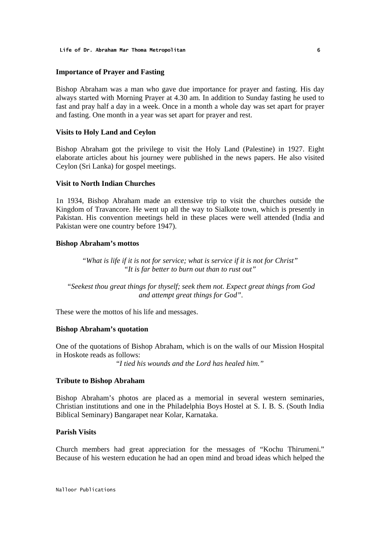#### **Importance of Prayer and Fasting**

Bishop Abraham was a man who gave due importance for prayer and fasting. His day always started with Morning Prayer at 4.30 am. In addition to Sunday fasting he used to fast and pray half a day in a week. Once in a month a whole day was set apart for prayer and fasting. One month in a year was set apart for prayer and rest.

#### **Visits to Holy Land and Ceylon**

Bishop Abraham got the privilege to visit the Holy Land (Palestine) in 1927. Eight elaborate articles about his journey were published in the news papers. He also visited Ceylon (Sri Lanka) for gospel meetings.

#### **Visit to North Indian Churches**

1n 1934, Bishop Abraham made an extensive trip to visit the churches outside the Kingdom of Travancore. He went up all the way to Sialkote town, which is presently in Pakistan. His convention meetings held in these places were well attended (India and Pakistan were one country before 1947).

#### **Bishop Abraham's mottos**

*"What is life if it is not for service; what is service if it is not for Christ" "It is far better to burn out than to rust out"* 

 *"Seekest thou great things for thyself; seek them not. Expect great things from God and attempt great things for God".* 

These were the mottos of his life and messages.

#### **Bishop Abraham's quotation**

One of the quotations of Bishop Abraham, which is on the walls of our Mission Hospital in Hoskote reads as follows:

"*I tied his wounds and the Lord has healed him."*

#### **Tribute to Bishop Abraham**

Bishop Abraham's photos are placed as a memorial in several western seminaries, Christian institutions and one in the Philadelphia Boys Hostel at S. I. B. S. (South India Biblical Seminary) Bangarapet near Kolar, Karnataka.

#### **Parish Visits**

Church members had great appreciation for the messages of "Kochu Thirumeni." Because of his western education he had an open mind and broad ideas which helped the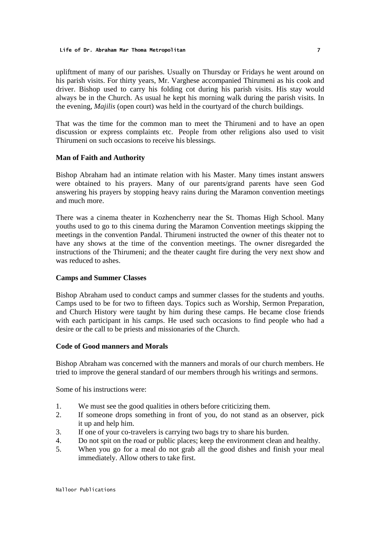#### **Life of Dr. Abraham Mar Thoma Metropolitan** 7

upliftment of many of our parishes. Usually on Thursday or Fridays he went around on his parish visits. For thirty years, Mr. Varghese accompanied Thirumeni as his cook and driver. Bishop used to carry his folding cot during his parish visits. His stay would always be in the Church. As usual he kept his morning walk during the parish visits. In the evening, *Majilis* (open court) was held in the courtyard of the church buildings.

That was the time for the common man to meet the Thirumeni and to have an open discussion or express complaints etc. People from other religions also used to visit Thirumeni on such occasions to receive his blessings.

#### **Man of Faith and Authority**

Bishop Abraham had an intimate relation with his Master. Many times instant answers were obtained to his prayers. Many of our parents/grand parents have seen God answering his prayers by stopping heavy rains during the Maramon convention meetings and much more.

There was a cinema theater in Kozhencherry near the St. Thomas High School. Many youths used to go to this cinema during the Maramon Convention meetings skipping the meetings in the convention Pandal. Thirumeni instructed the owner of this theater not to have any shows at the time of the convention meetings. The owner disregarded the instructions of the Thirumeni; and the theater caught fire during the very next show and was reduced to ashes.

#### **Camps and Summer Classes**

Bishop Abraham used to conduct camps and summer classes for the students and youths. Camps used to be for two to fifteen days. Topics such as Worship, Sermon Preparation, and Church History were taught by him during these camps. He became close friends with each participant in his camps. He used such occasions to find people who had a desire or the call to be priests and missionaries of the Church.

#### **Code of Good manners and Morals**

Bishop Abraham was concerned with the manners and morals of our church members. He tried to improve the general standard of our members through his writings and sermons.

Some of his instructions were:

- 1. We must see the good qualities in others before criticizing them.
- 2. If someone drops something in front of you, do not stand as an observer, pick it up and help him.
- 3. If one of your co-travelers is carrying two bags try to share his burden.
- 4. Do not spit on the road or public places; keep the environment clean and healthy.
- 5. When you go for a meal do not grab all the good dishes and finish your meal immediately. Allow others to take first.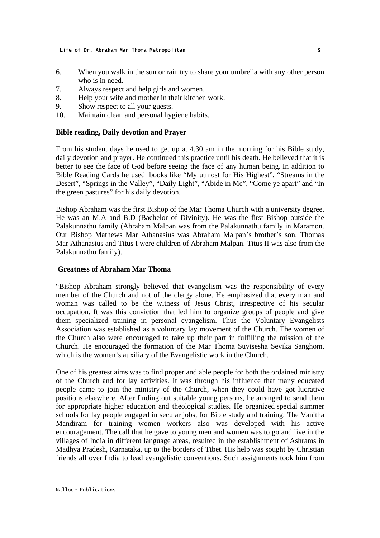- 6. When you walk in the sun or rain try to share your umbrella with any other person who is in need.
- 7. Always respect and help girls and women.
- 8. Help your wife and mother in their kitchen work.
- 9. Show respect to all your guests.
- 10. Maintain clean and personal hygiene habits.

#### **Bible reading, Daily devotion and Prayer**

From his student days he used to get up at 4.30 am in the morning for his Bible study, daily devotion and prayer. He continued this practice until his death. He believed that it is better to see the face of God before seeing the face of any human being. In addition to Bible Reading Cards he used books like "My utmost for His Highest", "Streams in the Desert", "Springs in the Valley", "Daily Light", "Abide in Me", "Come ye apart" and "In the green pastures" for his daily devotion.

Bishop Abraham was the first Bishop of the Mar Thoma Church with a university degree. He was an M.A and B.D (Bachelor of Divinity). He was the first Bishop outside the Palakunnathu family (Abraham Malpan was from the Palakunnathu family in Maramon. Our Bishop Mathews Mar Athanasius was Abraham Malpan's brother's son. Thomas Mar Athanasius and Titus I were children of Abraham Malpan. Titus II was also from the Palakunnathu family).

#### **Greatness of Abraham Mar Thoma**

"Bishop Abraham strongly believed that evangelism was the responsibility of every member of the Church and not of the clergy alone. He emphasized that every man and woman was called to be the witness of Jesus Christ, irrespective of his secular occupation. It was this conviction that led him to organize groups of people and give them specialized training in personal evangelism. Thus the Voluntary Evangelists Association was established as a voluntary lay movement of the Church. The women of the Church also were encouraged to take up their part in fulfilling the mission of the Church. He encouraged the formation of the Mar Thoma Suvisesha Sevika Sanghom, which is the women's auxiliary of the Evangelistic work in the Church.

One of his greatest aims was to find proper and able people for both the ordained ministry of the Church and for lay activities. It was through his influence that many educated people came to join the ministry of the Church, when they could have got lucrative positions elsewhere. After finding out suitable young persons, he arranged to send them for appropriate higher education and theological studies. He organized special summer schools for lay people engaged in secular jobs, for Bible study and training. The Vanitha Mandiram for training women workers also was developed with his active encouragement. The call that he gave to young men and women was to go and live in the villages of India in different language areas, resulted in the establishment of Ashrams in Madhya Pradesh, Karnataka, up to the borders of Tibet. His help was sought by Christian friends all over India to lead evangelistic conventions. Such assignments took him from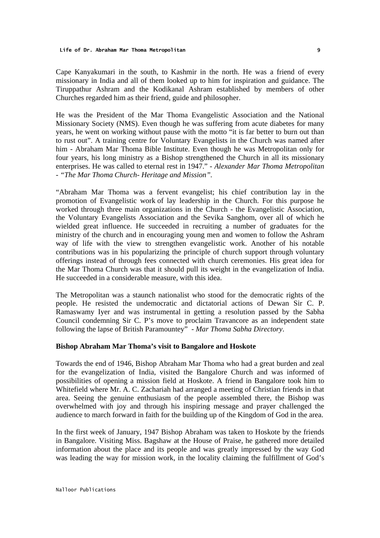Cape Kanyakumari in the south, to Kashmir in the north. He was a friend of every missionary in India and all of them looked up to him for inspiration and guidance. The Tiruppathur Ashram and the Kodikanal Ashram established by members of other Churches regarded him as their friend, guide and philosopher.

He was the President of the Mar Thoma Evangelistic Association and the National Missionary Society (NMS). Even though he was suffering from acute diabetes for many years, he went on working without pause with the motto "it is far better to burn out than to rust out". A training centre for Voluntary Evangelists in the Church was named after him - Abraham Mar Thoma Bible Institute. Even though he was Metropolitan only for four years, his long ministry as a Bishop strengthened the Church in all its missionary enterprises. He was called to eternal rest in 1947." - *Alexander Mar Thoma Metropolitan - "The Mar Thoma Church- Heritage and Mission".*

"Abraham Mar Thoma was a fervent evangelist; his chief contribution lay in the promotion of Evangelistic work of lay leadership in the Church. For this purpose he worked through three main organizations in the Church - the Evangelistic Association, the Voluntary Evangelists Association and the Sevika Sanghom, over all of which he wielded great influence. He succeeded in recruiting a number of graduates for the ministry of the church and in encouraging young men and women to follow the Ashram way of life with the view to strengthen evangelistic work. Another of his notable contributions was in his popularizing the principle of church support through voluntary offerings instead of through fees connected with church ceremonies. His great idea for the Mar Thoma Church was that it should pull its weight in the evangelization of India. He succeeded in a considerable measure, with this idea.

The Metropolitan was a staunch nationalist who stood for the democratic rights of the people. He resisted the undemocratic and dictatorial actions of Dewan Sir C. P. Ramaswamy Iyer and was instrumental in getting a resolution passed by the Sabha Council condemning Sir C. P's move to proclaim Travancore as an independent state following the lapse of British Paramountey" - *Mar Thoma Sabha Directory*.

#### **Bishop Abraham Mar Thoma's visit to Bangalore and Hoskote**

Towards the end of 1946, Bishop Abraham Mar Thoma who had a great burden and zeal for the evangelization of India, visited the Bangalore Church and was informed of possibilities of opening a mission field at Hoskote. A friend in Bangalore took him to Whitefield where Mr. A. C. Zachariah had arranged a meeting of Christian friends in that area. Seeing the genuine enthusiasm of the people assembled there, the Bishop was overwhelmed with joy and through his inspiring message and prayer challenged the audience to march forward in faith for the building up of the Kingdom of God in the area.

In the first week of January, 1947 Bishop Abraham was taken to Hoskote by the friends in Bangalore. Visiting Miss. Bagshaw at the House of Praise, he gathered more detailed information about the place and its people and was greatly impressed by the way God was leading the way for mission work, in the locality claiming the fulfillment of God's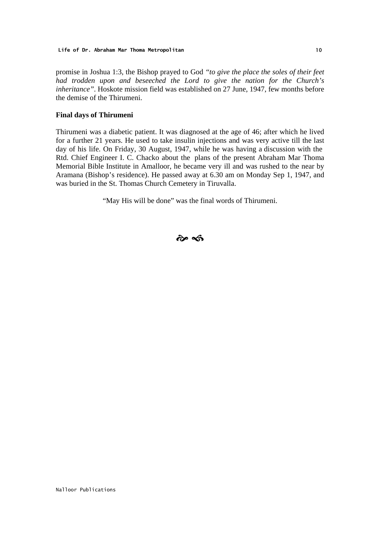promise in Joshua 1:3, the Bishop prayed to God *"to give the place the soles of their feet had trodden upon and beseeched the Lord to give the nation for the Church's inheritance"*. Hoskote mission field was established on 27 June, 1947, few months before the demise of the Thirumeni.

#### **Final days of Thirumeni**

Thirumeni was a diabetic patient. It was diagnosed at the age of 46; after which he lived for a further 21 years. He used to take insulin injections and was very active till the last day of his life. On Friday, 30 August, 1947, while he was having a discussion with the Rtd. Chief Engineer I. C. Chacko about the plans of the present Abraham Mar Thoma Memorial Bible Institute in Amalloor, he became very ill and was rushed to the near by Aramana (Bishop's residence). He passed away at 6.30 am on Monday Sep 1, 1947, and was buried in the St. Thomas Church Cemetery in Tiruvalla.

"May His will be done" was the final words of Thirumeni.

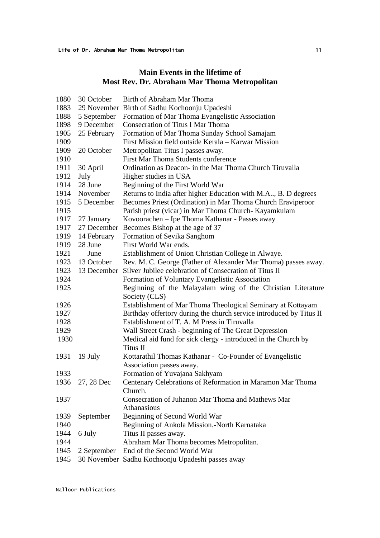### **Main Events in the lifetime of Most Rev. Dr. Abraham Mar Thoma Metropolitan**

| 1880 | 30 October      | Birth of Abraham Mar Thoma                                                   |
|------|-----------------|------------------------------------------------------------------------------|
| 1883 |                 | 29 November Birth of Sadhu Kochoonju Upadeshi                                |
| 1888 | 5 September     | Formation of Mar Thoma Evangelistic Association                              |
| 1898 | 9 December      | <b>Consecration of Titus I Mar Thoma</b>                                     |
| 1905 | 25 February     | Formation of Mar Thoma Sunday School Samajam                                 |
| 1909 |                 | First Mission field outside Kerala – Karwar Mission                          |
| 1909 | 20 October      | Metropolitan Titus I passes away.                                            |
| 1910 |                 | First Mar Thoma Students conference                                          |
| 1911 | 30 April        | Ordination as Deacon- in the Mar Thoma Church Tiruvalla                      |
| 1912 | July            | Higher studies in USA                                                        |
| 1914 | 28 June         | Beginning of the First World War                                             |
| 1914 | November        | Returns to India after higher Education with M.A., B. D degrees              |
| 1915 | 5 December      | Becomes Priest (Ordination) in Mar Thoma Church Eraviperoor                  |
| 1915 |                 | Parish priest (vicar) in Mar Thoma Church- Kayamkulam                        |
| 1917 | 27 January      | Kovoorachen - Ipe Thoma Kathanar - Passes away                               |
| 1917 | 27 December     | Becomes Bishop at the age of 37                                              |
| 1919 | 14 February     | Formation of Sevika Sanghom                                                  |
| 1919 | 28 June         | First World War ends.                                                        |
| 1921 | June            | Establishment of Union Christian College in Alwaye.                          |
| 1923 | 13 October      | Rev. M. C. George (Father of Alexander Mar Thoma) passes away.               |
| 1923 |                 | 13 December Silver Jubilee celebration of Consecration of Titus II           |
| 1924 |                 | Formation of Voluntary Evangelistic Association                              |
| 1925 |                 | Beginning of the Malayalam wing of the Christian Literature<br>Society (CLS) |
| 1926 |                 | Establishment of Mar Thoma Theological Seminary at Kottayam                  |
| 1927 |                 | Birthday offertory during the church service introduced by Titus II          |
| 1928 |                 | Establishment of T. A. M Press in Tiruvalla                                  |
| 1929 |                 | Wall Street Crash - beginning of The Great Depression                        |
| 1930 |                 | Medical aid fund for sick clergy - introduced in the Church by<br>Titus II   |
| 1931 | 19 July         | Kottarathil Thomas Kathanar - Co-Founder of Evangelistic                     |
|      |                 | Association passes away.                                                     |
| 1933 |                 | Formation of Yuvajana Sakhyam                                                |
|      | 1936 27, 28 Dec | Centenary Celebrations of Reformation in Maramon Mar Thoma                   |
|      |                 | Church.                                                                      |
| 1937 |                 | Consecration of Juhanon Mar Thoma and Mathews Mar                            |
|      |                 | Athanasious                                                                  |
| 1939 | September       | Beginning of Second World War                                                |
| 1940 |                 | Beginning of Ankola Mission.-North Karnataka                                 |
| 1944 | 6 July          | Titus II passes away.                                                        |
| 1944 |                 | Abraham Mar Thoma becomes Metropolitan.                                      |
| 1945 | 2 September     | End of the Second World War                                                  |
| 1945 |                 | 30 November Sadhu Kochoonju Upadeshi passes away                             |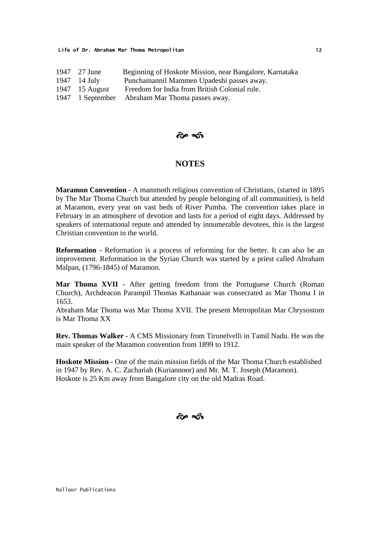| 1947 27 June   | Beginning of Hoskote Mission, near Bangalore, Karnataka |
|----------------|---------------------------------------------------------|
| $1947$ 14 July | Punchamannil Mammen Upadeshi passes away.               |
| 1947 15 August | Freedom for India from British Colonial rule.           |
|                | 1947 1 September Abraham Mar Thoma passes away.         |

#### $\boldsymbol{\hat{\omega}}$   $\boldsymbol{\hat{\omega}}$

#### **NOTES**

**Maramon Convention -** A mammoth religious convention of Christians, (started in 1895 by The Mar Thoma Church but attended by people belonging of all communities), is held at Maramon, every year on vast beds of River Pumba. The convention takes place in February in an atmosphere of devotion and lasts for a period of eight days. Addressed by speakers of international repute and attended by innumerable devotees, this is the largest Christian convention in the world.

**Reformation** - Reformation is a process of reforming for the better. It can also be an improvement. Reformation in the Syrian Church was started by a priest called Abraham Malpan, (1796-1845) of Maramon.

**Mar Thoma XVII** - After getting freedom from the Portuguese Church (Roman Church), Archdeacon Parampil Thomas Kathanaar was consecrated as Mar Thoma I in 1653.

Abraham Mar Thoma was Mar Thoma XVII. The present Metropolitan Mar Chrysostom is Mar Thoma XX

**Rev. Thomas Walker -** A CMS Missionary from Tirunelvelli in Tamil Nadu. He was the main speaker of the Maramon convention from 1899 to 1912.

**Hoskote Mission -** One of the main mission fields of the Mar Thoma Church established in 1947 by Rev. A. C. Zachariah (Kuriannoor) and Mr. M. T. Joseph (Maramon). Hoskote is 25 Km away from Bangalore city on the old Madras Road.

 $\hat{\boldsymbol{\alpha}}$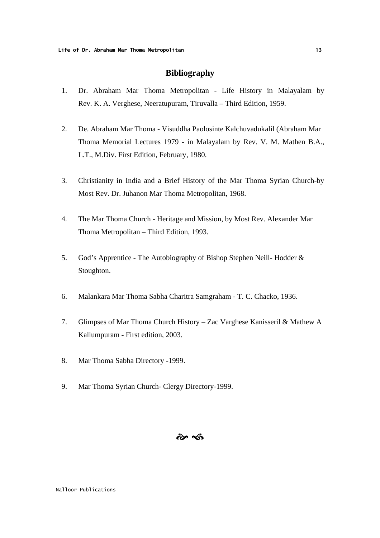#### **Bibliography**

- 1. Dr. Abraham Mar Thoma Metropolitan Life History in Malayalam by Rev. K. A. Verghese, Neeratupuram, Tiruvalla – Third Edition, 1959.
- 2. De. Abraham Mar Thoma Visuddha Paolosinte Kalchuvadukalil (Abraham Mar Thoma Memorial Lectures 1979 - in Malayalam by Rev. V. M. Mathen B.A., L.T., M.Div. First Edition, February, 1980.
- 3. Christianity in India and a Brief History of the Mar Thoma Syrian Church-by Most Rev. Dr. Juhanon Mar Thoma Metropolitan, 1968.
- 4. The Mar Thoma Church Heritage and Mission, by Most Rev. Alexander Mar Thoma Metropolitan – Third Edition, 1993.
- 5. God's Apprentice The Autobiography of Bishop Stephen Neill- Hodder & Stoughton.
- 6. Malankara Mar Thoma Sabha Charitra Samgraham T. C. Chacko, 1936.
- 7. Glimpses of Mar Thoma Church History Zac Varghese Kanisseril & Mathew A Kallumpuram - First edition, 2003.
- 8. Mar Thoma Sabha Directory -1999.
- 9. Mar Thoma Syrian Church- Clergy Directory-1999.

### $\hat{\boldsymbol{\alpha}}$